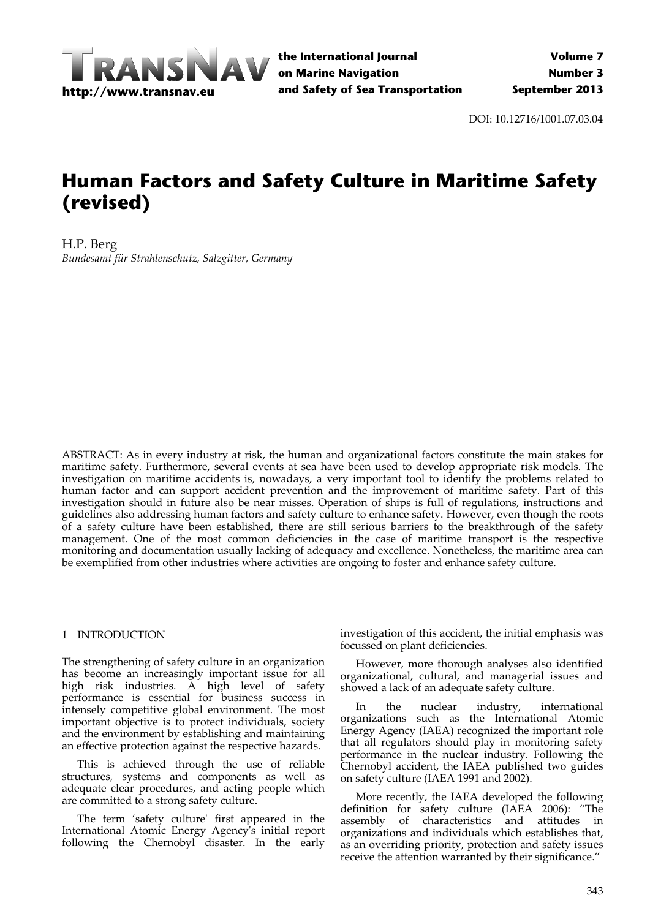

DOI: 10.12716/1001.07.03.04

# **Human Factors and Safety Culture in Maritime Safety (revised)**

H.P. Berg *Bundesamt für Strahlenschutz, Salzgitter, Germany*

ABSTRACT: As in every industry at risk, the human and organizational factors constitute the main stakes for maritime safety. Furthermore, several events at sea have been used to develop appropriate risk models. The investigation on maritime accidents is, nowadays, a very important tool to identify the problems related to human factor and can support accident prevention and the improvement of maritime safety. Part of this investigation should in future also be near misses. Operation of ships is full of regulations, instructions and guidelines also addressing human factors and safety culture to enhance safety. However, even though the roots of a safety culture have been established, there are still serious barriers to the breakthrough of the safety management. One of the most common deficiencies in the case of maritime transport is the respective monitoring and documentation usually lacking of adequacy and excellence. Nonetheless, the maritime area can be exemplified from other industries where activities are ongoing to foster and enhance safety culture.

#### 1 INTRODUCTION

The strengthening of safety culture in an organization has become an increasingly important issue for all high risk industries. A high level of safety performance is essential for business success in intensely competitive global environment. The most important objective is to protect individuals, society and the environment by establishing and maintaining an effective protection against the respective hazards.

This is achieved through the use of reliable structures, systems and components as well as adequate clear procedures, and acting people which are committed to a strong safety culture.

The term 'safety culture' first appeared in the International Atomic Energy Agencyʹs initial report following the Chernobyl disaster. In the early

investigation of this accident, the initial emphasis was focussed on plant deficiencies.

However, more thorough analyses also identified organizational, cultural, and managerial issues and showed a lack of an adequate safety culture.

In the nuclear industry, international organizations such as the International Atomic Energy Agency (IAEA) recognized the important role that all regulators should play in monitoring safety performance in the nuclear industry. Following the Chernobyl accident, the IAEA published two guides on safety culture (IAEA 1991 and 2002).

More recently, the IAEA developed the following definition for safety culture (IAEA 2006): "The assembly of characteristics and attitudes in organizations and individuals which establishes that, as an overriding priority, protection and safety issues receive the attention warranted by their significance."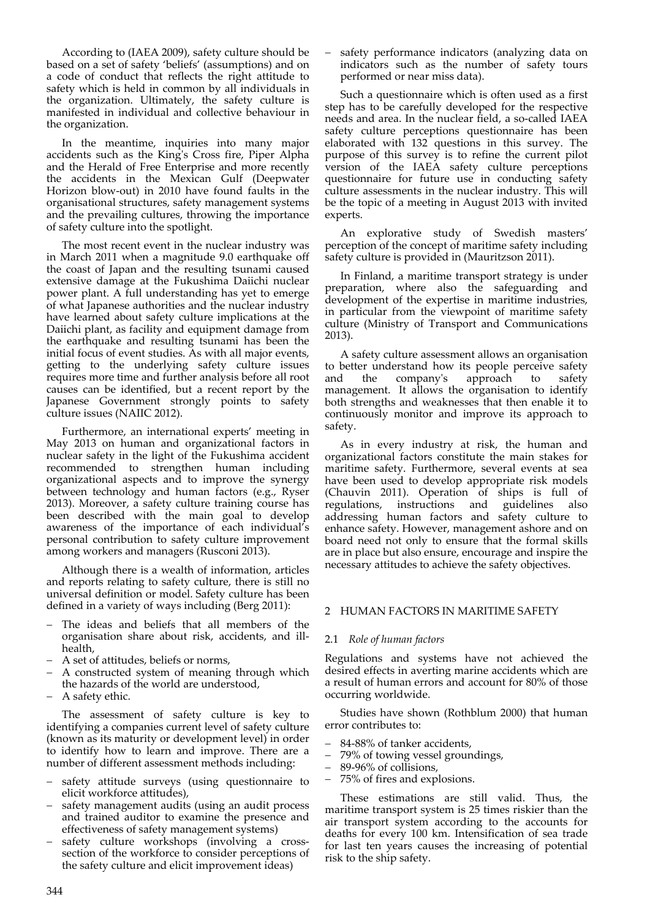According to (IAEA 2009), safety culture should be based on a set of safety 'beliefs' (assumptions) and on a code of conduct that reflects the right attitude to safety which is held in common by all individuals in the organization. Ultimately, the safety culture is manifested in individual and collective behaviour in the organization.

In the meantime, inquiries into many major accidents such as the Kingʹs Cross fire, Piper Alpha and the Herald of Free Enterprise and more recently the accidents in the Mexican Gulf (Deepwater Horizon blow‐out) in 2010 have found faults in the organisational structures, safety management systems and the prevailing cultures, throwing the importance of safety culture into the spotlight.

The most recent event in the nuclear industry was in March 2011 when a magnitude 9.0 earthquake off the coast of Japan and the resulting tsunami caused extensive damage at the Fukushima Daiichi nuclear power plant. A full understanding has yet to emerge of what Japanese authorities and the nuclear industry have learned about safety culture implications at the Daiichi plant, as facility and equipment damage from the earthquake and resulting tsunami has been the initial focus of event studies. As with all major events, getting to the underlying safety culture issues requires more time and further analysis before all root causes can be identified, but a recent report by the Japanese Government strongly points to safety culture issues (NAIIC 2012).

Furthermore, an international experts' meeting in May 2013 on human and organizational factors in nuclear safety in the light of the Fukushima accident recommended to strengthen human including organizational aspects and to improve the synergy between technology and human factors (e.g., Ryser 2013). Moreover, a safety culture training course has been described with the main goal to develop awareness of the importance of each individual's personal contribution to safety culture improvement among workers and managers (Rusconi 2013).

Although there is a wealth of information, articles and reports relating to safety culture, there is still no universal definition or model. Safety culture has been defined in a variety of ways including (Berg 2011):

- The ideas and beliefs that all members of the organisation share about risk, accidents, and ill‐ health,
- A set of attitudes, beliefs or norms,
- A constructed system of meaning through which the hazards of the world are understood,
- A safety ethic.

The assessment of safety culture is key to identifying a companies current level of safety culture (known as its maturity or development level) in order to identify how to learn and improve. There are a number of different assessment methods including:

- safety attitude surveys (using questionnaire to elicit workforce attitudes),
- safety management audits (using an audit process and trained auditor to examine the presence and effectiveness of safety management systems)
- safety culture workshops (involving a crosssection of the workforce to consider perceptions of the safety culture and elicit improvement ideas)

 safety performance indicators (analyzing data on indicators such as the number of safety tours performed or near miss data).

Such a questionnaire which is often used as a first step has to be carefully developed for the respective needs and area. In the nuclear field, a so‐called IAEA safety culture perceptions questionnaire has been elaborated with 132 questions in this survey. The purpose of this survey is to refine the current pilot version of the IAEA safety culture perceptions questionnaire for future use in conducting safety culture assessments in the nuclear industry. This will be the topic of a meeting in August 2013 with invited experts.

An explorative study of Swedish masters' perception of the concept of maritime safety including safety culture is provided in (Mauritzson 2011).

In Finland, a maritime transport strategy is under preparation, where also the safeguarding and development of the expertise in maritime industries, in particular from the viewpoint of maritime safety culture (Ministry of Transport and Communications 2013).

A safety culture assessment allows an organisation to better understand how its people perceive safety and the company's approach to safety management. It allows the organisation to identify both strengths and weaknesses that then enable it to continuously monitor and improve its approach to safety.

As in every industry at risk, the human and organizational factors constitute the main stakes for maritime safety. Furthermore, several events at sea have been used to develop appropriate risk models (Chauvin 2011). Operation of ships is full of regulations, instructions and guidelines also addressing human factors and safety culture to enhance safety. However, management ashore and on board need not only to ensure that the formal skills are in place but also ensure, encourage and inspire the necessary attitudes to achieve the safety objectives.

# 2 HUMAN FACTORS IN MARITIME SAFETY

# 2.1 *Role of human factors*

Regulations and systems have not achieved the desired effects in averting marine accidents which are a result of human errors and account for 80% of those occurring worldwide.

Studies have shown (Rothblum 2000) that human error contributes to:

- 84‐88% of tanker accidents,
- 79% of towing vessel groundings,
- 89‐96% of collisions,
- 75% of fires and explosions.

These estimations are still valid. Thus, the maritime transport system is 25 times riskier than the air transport system according to the accounts for deaths for every 100 km. Intensification of sea trade for last ten years causes the increasing of potential risk to the ship safety.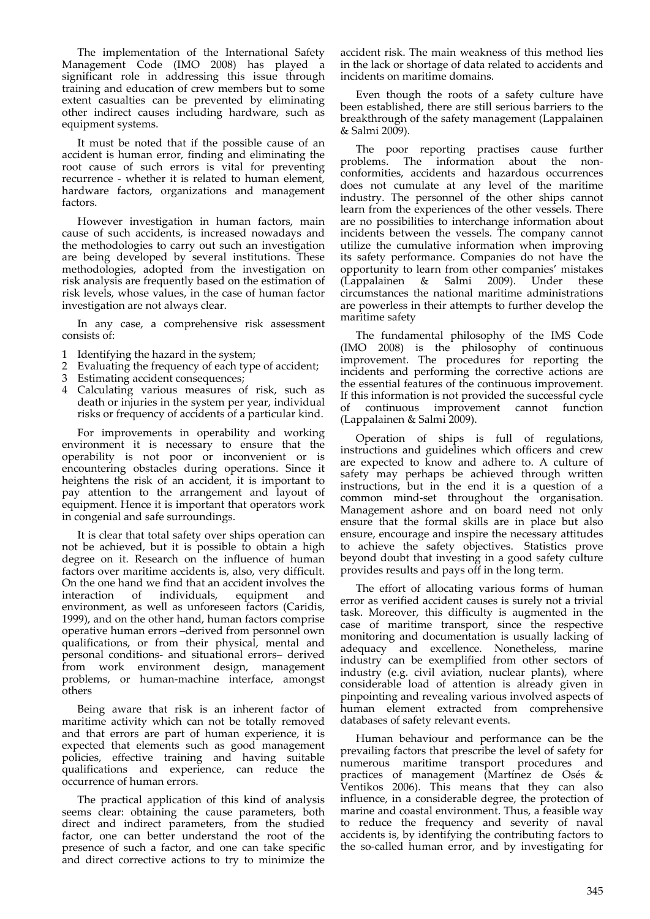The implementation of the International Safety Management Code (IMO 2008) has played a significant role in addressing this issue through training and education of crew members but to some extent casualties can be prevented by eliminating other indirect causes including hardware, such as equipment systems.

It must be noted that if the possible cause of an accident is human error, finding and eliminating the root cause of such errors is vital for preventing recurrence - whether it is related to human element, hardware factors, organizations and management factors.

However investigation in human factors, main cause of such accidents, is increased nowadays and the methodologies to carry out such an investigation are being developed by several institutions. These methodologies, adopted from the investigation on risk analysis are frequently based on the estimation of risk levels, whose values, in the case of human factor investigation are not always clear.

In any case, a comprehensive risk assessment consists of:

- 1 Identifying the hazard in the system;
- 2 Evaluating the frequency of each type of accident;
- 3 Estimating accident consequences;
- 4 Calculating various measures of risk, such as death or injuries in the system per year, individual risks or frequency of accidents of a particular kind.

For improvements in operability and working environment it is necessary to ensure that the operability is not poor or inconvenient or is encountering obstacles during operations. Since it heightens the risk of an accident, it is important to pay attention to the arrangement and layout of equipment. Hence it is important that operators work in congenial and safe surroundings.

It is clear that total safety over ships operation can not be achieved, but it is possible to obtain a high degree on it. Research on the influence of human factors over maritime accidents is, also, very difficult. On the one hand we find that an accident involves the interaction of individuals, equipment and environment, as well as unforeseen factors (Caridis, 1999), and on the other hand, human factors comprise operative human errors –derived from personnel own qualifications, or from their physical, mental and personal conditions‐ and situational errors– derived from work environment design, management problems, or human‐machine interface, amongst others

Being aware that risk is an inherent factor of maritime activity which can not be totally removed and that errors are part of human experience, it is expected that elements such as good management policies, effective training and having suitable qualifications and experience, can reduce the occurrence of human errors.

The practical application of this kind of analysis seems clear: obtaining the cause parameters, both direct and indirect parameters, from the studied factor, one can better understand the root of the presence of such a factor, and one can take specific and direct corrective actions to try to minimize the

accident risk. The main weakness of this method lies in the lack or shortage of data related to accidents and incidents on maritime domains.

Even though the roots of a safety culture have been established, there are still serious barriers to the breakthrough of the safety management (Lappalainen & Salmi 2009).

The poor reporting practises cause further problems. The information about the nonconformities, accidents and hazardous occurrences does not cumulate at any level of the maritime industry. The personnel of the other ships cannot learn from the experiences of the other vessels. There are no possibilities to interchange information about incidents between the vessels. The company cannot utilize the cumulative information when improving its safety performance. Companies do not have the opportunity to learn from other companies' mistakes (Lappalainen & Salmi 2009). Under these circumstances the national maritime administrations are powerless in their attempts to further develop the maritime safety

The fundamental philosophy of the IMS Code (IMO 2008) is the philosophy of continuous improvement. The procedures for reporting the incidents and performing the corrective actions are the essential features of the continuous improvement. If this information is not provided the successful cycle of continuous improvement cannot function (Lappalainen & Salmi 2009).

Operation of ships is full of regulations, instructions and guidelines which officers and crew are expected to know and adhere to. A culture of safety may perhaps be achieved through written instructions, but in the end it is a question of a common mind‐set throughout the organisation. Management ashore and on board need not only ensure that the formal skills are in place but also ensure, encourage and inspire the necessary attitudes to achieve the safety objectives. Statistics prove beyond doubt that investing in a good safety culture provides results and pays off in the long term.

The effort of allocating various forms of human error as verified accident causes is surely not a trivial task. Moreover, this difficulty is augmented in the case of maritime transport, since the respective monitoring and documentation is usually lacking of adequacy and excellence. Nonetheless, marine industry can be exemplified from other sectors of industry (e.g. civil aviation, nuclear plants), where considerable load of attention is already given in pinpointing and revealing various involved aspects of human element extracted from comprehensive databases of safety relevant events.

Human behaviour and performance can be the prevailing factors that prescribe the level of safety for numerous maritime transport procedures and practices of management (Martínez de Osés & Ventikos 2006). This means that they can also influence, in a considerable degree, the protection of marine and coastal environment. Thus, a feasible way to reduce the frequency and severity of naval accidents is, by identifying the contributing factors to the so‐called human error, and by investigating for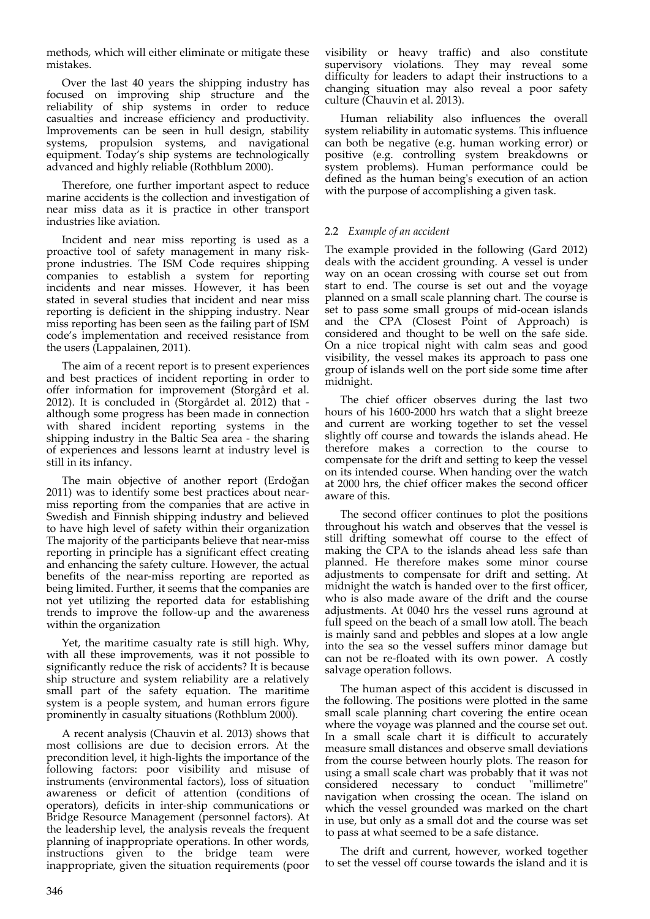methods, which will either eliminate or mitigate these mistakes.

Over the last 40 years the shipping industry has focused on improving ship structure and the reliability of ship systems in order to reduce casualties and increase efficiency and productivity. Improvements can be seen in hull design, stability systems, propulsion systems, and navigational equipment. Today's ship systems are technologically advanced and highly reliable (Rothblum 2000).

Therefore, one further important aspect to reduce marine accidents is the collection and investigation of near miss data as it is practice in other transport industries like aviation.

Incident and near miss reporting is used as a proactive tool of safety management in many risk‐ prone industries. The ISM Code requires shipping companies to establish a system for reporting incidents and near misses. However, it has been stated in several studies that incident and near miss reporting is deficient in the shipping industry. Near miss reporting has been seen as the failing part of ISM code's implementation and received resistance from the users (Lappalainen, 2011).

The aim of a recent report is to present experiences and best practices of incident reporting in order to offer information for improvement (Storgård et al. 2012). It is concluded in  $(Storgårdet al. 2012)$  that although some progress has been made in connection with shared incident reporting systems in the shipping industry in the Baltic Sea area ‐ the sharing of experiences and lessons learnt at industry level is still in its infancy.

The main objective of another report (Erdoğan 2011) was to identify some best practices about near‐ miss reporting from the companies that are active in Swedish and Finnish shipping industry and believed to have high level of safety within their organization The majority of the participants believe that near-miss reporting in principle has a significant effect creating and enhancing the safety culture. However, the actual benefits of the near‐miss reporting are reported as being limited. Further, it seems that the companies are not yet utilizing the reported data for establishing trends to improve the follow‐up and the awareness within the organization

Yet, the maritime casualty rate is still high. Why, with all these improvements, was it not possible to significantly reduce the risk of accidents? It is because ship structure and system reliability are a relatively small part of the safety equation. The maritime system is a people system, and human errors figure prominently in casualty situations (Rothblum 2000).

A recent analysis (Chauvin et al. 2013) shows that most collisions are due to decision errors. At the precondition level, it high‐lights the importance of the following factors: poor visibility and misuse of instruments (environmental factors), loss of situation awareness or deficit of attention (conditions of operators), deficits in inter‐ship communications or Bridge Resource Management (personnel factors). At the leadership level, the analysis reveals the frequent planning of inappropriate operations. In other words, instructions given to the bridge team were inappropriate, given the situation requirements (poor visibility or heavy traffic) and also constitute supervisory violations. They may reveal some difficulty for leaders to adapt their instructions to a changing situation may also reveal a poor safety culture (Chauvin et al. 2013).

Human reliability also influences the overall system reliability in automatic systems. This influence can both be negative (e.g. human working error) or positive (e.g. controlling system breakdowns or system problems). Human performance could be defined as the human beingʹs execution of an action with the purpose of accomplishing a given task.

# 2.2 *Example of an accident*

The example provided in the following (Gard 2012) deals with the accident grounding. A vessel is under way on an ocean crossing with course set out from start to end. The course is set out and the voyage planned on a small scale planning chart. The course is set to pass some small groups of mid‐ocean islands and the CPA (Closest Point of Approach) is considered and thought to be well on the safe side. On a nice tropical night with calm seas and good visibility, the vessel makes its approach to pass one group of islands well on the port side some time after midnight.

The chief officer observes during the last two hours of his 1600‐2000 hrs watch that a slight breeze and current are working together to set the vessel slightly off course and towards the islands ahead. He therefore makes a correction to the course to compensate for the drift and setting to keep the vessel on its intended course. When handing over the watch at 2000 hrs, the chief officer makes the second officer aware of this.

The second officer continues to plot the positions throughout his watch and observes that the vessel is still drifting somewhat off course to the effect of making the CPA to the islands ahead less safe than planned. He therefore makes some minor course adjustments to compensate for drift and setting. At midnight the watch is handed over to the first officer, who is also made aware of the drift and the course adjustments. At 0040 hrs the vessel runs aground at full speed on the beach of a small low atoll. The beach is mainly sand and pebbles and slopes at a low angle into the sea so the vessel suffers minor damage but can not be re-floated with its own power. A costly salvage operation follows.

The human aspect of this accident is discussed in the following. The positions were plotted in the same small scale planning chart covering the entire ocean where the voyage was planned and the course set out. In a small scale chart it is difficult to accurately measure small distances and observe small deviations from the course between hourly plots. The reason for using a small scale chart was probably that it was not considered necessary to conduct "millimetre" navigation when crossing the ocean. The island on which the vessel grounded was marked on the chart in use, but only as a small dot and the course was set to pass at what seemed to be a safe distance.

The drift and current, however, worked together to set the vessel off course towards the island and it is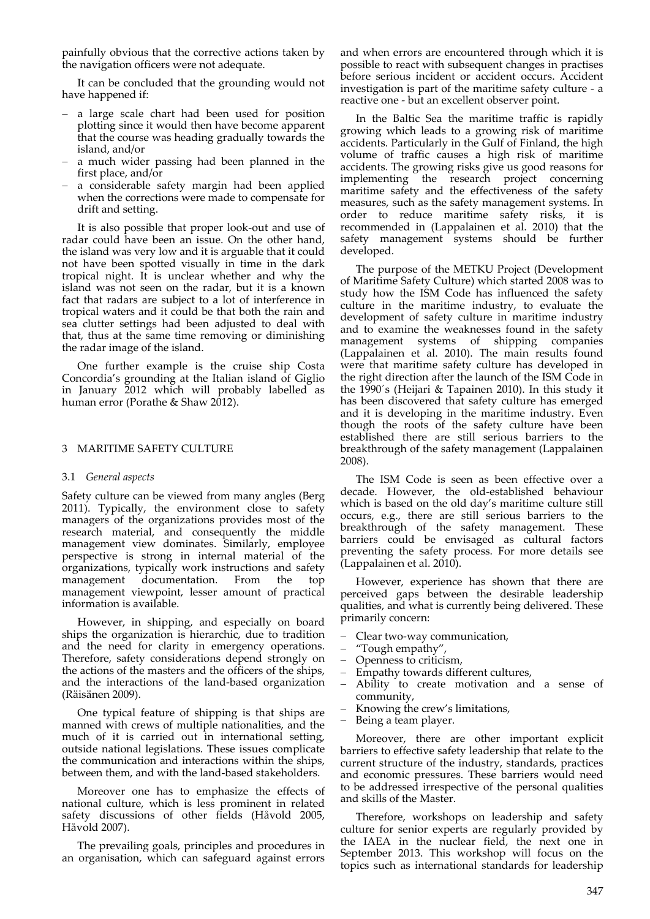painfully obvious that the corrective actions taken by the navigation officers were not adequate.

It can be concluded that the grounding would not have happened if:

- a large scale chart had been used for position plotting since it would then have become apparent that the course was heading gradually towards the island, and/or
- a much wider passing had been planned in the first place, and/or
- a considerable safety margin had been applied when the corrections were made to compensate for drift and setting.

It is also possible that proper look‐out and use of radar could have been an issue. On the other hand, the island was very low and it is arguable that it could not have been spotted visually in time in the dark tropical night. It is unclear whether and why the island was not seen on the radar, but it is a known fact that radars are subject to a lot of interference in tropical waters and it could be that both the rain and sea clutter settings had been adjusted to deal with that, thus at the same time removing or diminishing the radar image of the island.

One further example is the cruise ship Costa Concordia's grounding at the Italian island of Giglio in January 2012 which will probably labelled as human error (Porathe  $&$  Shaw 2012).

#### 3 MARITIME SAFETY CULTURE

#### 3.1 *General aspects*

Safety culture can be viewed from many angles (Berg 2011). Typically, the environment close to safety managers of the organizations provides most of the research material, and consequently the middle management view dominates. Similarly, employee perspective is strong in internal material of the organizations, typically work instructions and safety<br>management documentation. From the top management documentation. From the top management viewpoint, lesser amount of practical information is available.

However, in shipping, and especially on board ships the organization is hierarchic, due to tradition and the need for clarity in emergency operations. Therefore, safety considerations depend strongly on the actions of the masters and the officers of the ships, and the interactions of the land‐based organization (Räisänen 2009).

One typical feature of shipping is that ships are manned with crews of multiple nationalities, and the much of it is carried out in international setting, outside national legislations. These issues complicate the communication and interactions within the ships, between them, and with the land‐based stakeholders.

Moreover one has to emphasize the effects of national culture, which is less prominent in related safety discussions of other fields (Håvold 2005, Håvold 2007).

The prevailing goals, principles and procedures in an organisation, which can safeguard against errors and when errors are encountered through which it is possible to react with subsequent changes in practises before serious incident or accident occurs. Accident investigation is part of the maritime safety culture ‐ a reactive one ‐ but an excellent observer point.

In the Baltic Sea the maritime traffic is rapidly growing which leads to a growing risk of maritime accidents. Particularly in the Gulf of Finland, the high volume of traffic causes a high risk of maritime accidents. The growing risks give us good reasons for implementing the research project concerning maritime safety and the effectiveness of the safety measures, such as the safety management systems. In order to reduce maritime safety risks, it is recommended in (Lappalainen et al. 2010) that the safety management systems should be further developed.

The purpose of the METKU Project (Development of Maritime Safety Culture) which started 2008 was to study how the ISM Code has influenced the safety culture in the maritime industry, to evaluate the development of safety culture in maritime industry and to examine the weaknesses found in the safety management systems of shipping companies (Lappalainen et al. 2010). The main results found were that maritime safety culture has developed in the right direction after the launch of the ISM Code in the 1990´s (Heijari & Tapainen 2010). In this study it has been discovered that safety culture has emerged and it is developing in the maritime industry. Even though the roots of the safety culture have been established there are still serious barriers to the breakthrough of the safety management (Lappalainen 2008).

The ISM Code is seen as been effective over a decade. However, the old‐established behaviour which is based on the old day's maritime culture still occurs, e.g., there are still serious barriers to the breakthrough of the safety management. These barriers could be envisaged as cultural factors preventing the safety process. For more details see (Lappalainen et al. 2010).

However, experience has shown that there are perceived gaps between the desirable leadership qualities, and what is currently being delivered. These primarily concern:

- Clear two‐way communication,
- "Tough empathy",
- Openness to criticism,
- Empathy towards different cultures,
- Ability to create motivation and a sense of community,
- Knowing the crew's limitations,
- Being a team player.

Moreover, there are other important explicit barriers to effective safety leadership that relate to the current structure of the industry, standards, practices and economic pressures. These barriers would need to be addressed irrespective of the personal qualities and skills of the Master.

Therefore, workshops on leadership and safety culture for senior experts are regularly provided by the IAEA in the nuclear field, the next one in September 2013. This workshop will focus on the topics such as international standards for leadership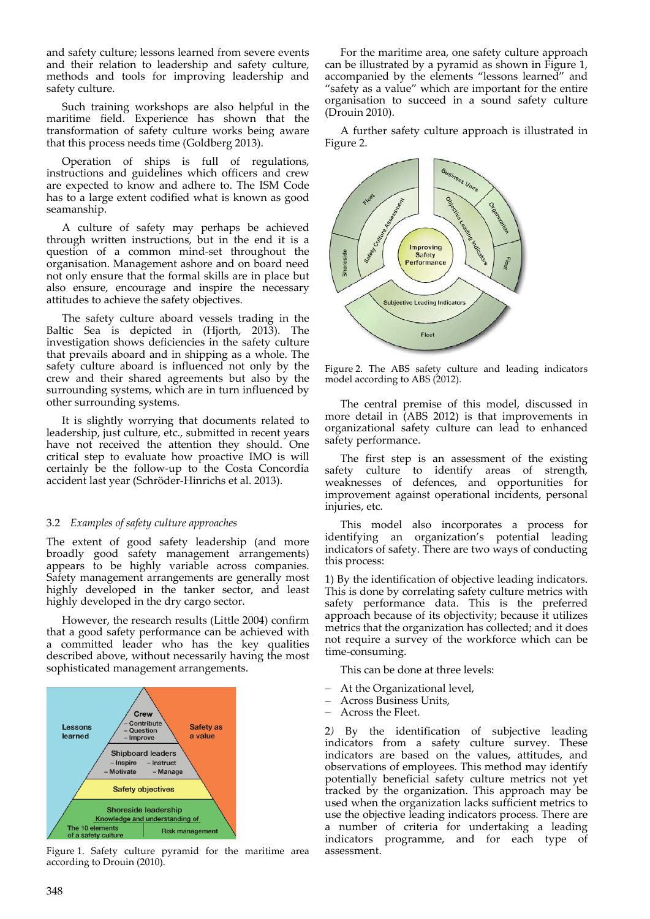and safety culture; lessons learned from severe events and their relation to leadership and safety culture, methods and tools for improving leadership and safety culture.

Such training workshops are also helpful in the maritime field. Experience has shown that the transformation of safety culture works being aware that this process needs time (Goldberg 2013).

Operation of ships is full of regulations, instructions and guidelines which officers and crew are expected to know and adhere to. The ISM Code has to a large extent codified what is known as good seamanship.

A culture of safety may perhaps be achieved through written instructions, but in the end it is a question of a common mind‐set throughout the organisation. Management ashore and on board need not only ensure that the formal skills are in place but also ensure, encourage and inspire the necessary attitudes to achieve the safety objectives.

The safety culture aboard vessels trading in the Baltic Sea is depicted in (Hjorth, 2013). The investigation shows deficiencies in the safety culture that prevails aboard and in shipping as a whole. The safety culture aboard is influenced not only by the crew and their shared agreements but also by the surrounding systems, which are in turn influenced by other surrounding systems.

It is slightly worrying that documents related to leadership, just culture, etc., submitted in recent years have not received the attention they should. One critical step to evaluate how proactive IMO is will certainly be the follow-up to the Costa Concordia accident last year (Schröder‐Hinrichs et al. 2013).

#### 3.2 *Examples of safety culture approaches*

The extent of good safety leadership (and more broadly good safety management arrangements) appears to be highly variable across companies. Safety management arrangements are generally most highly developed in the tanker sector, and least highly developed in the dry cargo sector.

However, the research results (Little 2004) confirm that a good safety performance can be achieved with a committed leader who has the key qualities described above, without necessarily having the most sophisticated management arrangements.



Figure 1. Safety culture pyramid for the maritime area according to Drouin (2010).

For the maritime area, one safety culture approach can be illustrated by a pyramid as shown in Figure 1, accompanied by the elements "lessons learned" and "safety as a value" which are important for the entire organisation to succeed in a sound safety culture (Drouin 2010).

A further safety culture approach is illustrated in Figure 2.



Figure 2. The ABS safety culture and leading indicators model according to ABS (2012).

The central premise of this model, discussed in more detail in (ABS 2012) is that improvements in organizational safety culture can lead to enhanced safety performance.

The first step is an assessment of the existing safety culture to identify areas of strength, weaknesses of defences, and opportunities for improvement against operational incidents, personal injuries, etc.

This model also incorporates a process for identifying an organization's potential leading indicators of safety. There are two ways of conducting this process:

1) By the identification of objective leading indicators. This is done by correlating safety culture metrics with safety performance data. This is the preferred approach because of its objectivity; because it utilizes metrics that the organization has collected; and it does not require a survey of the workforce which can be time‐consuming.

This can be done at three levels:

- At the Organizational level,
- Across Business Units,
- Across the Fleet.

2*)* By the identification of subjective leading indicators from a safety culture survey. These indicators are based on the values, attitudes, and observations of employees. This method may identify potentially beneficial safety culture metrics not yet tracked by the organization. This approach may be used when the organization lacks sufficient metrics to use the objective leading indicators process. There are a number of criteria for undertaking a leading indicators programme, and for each type of assessment.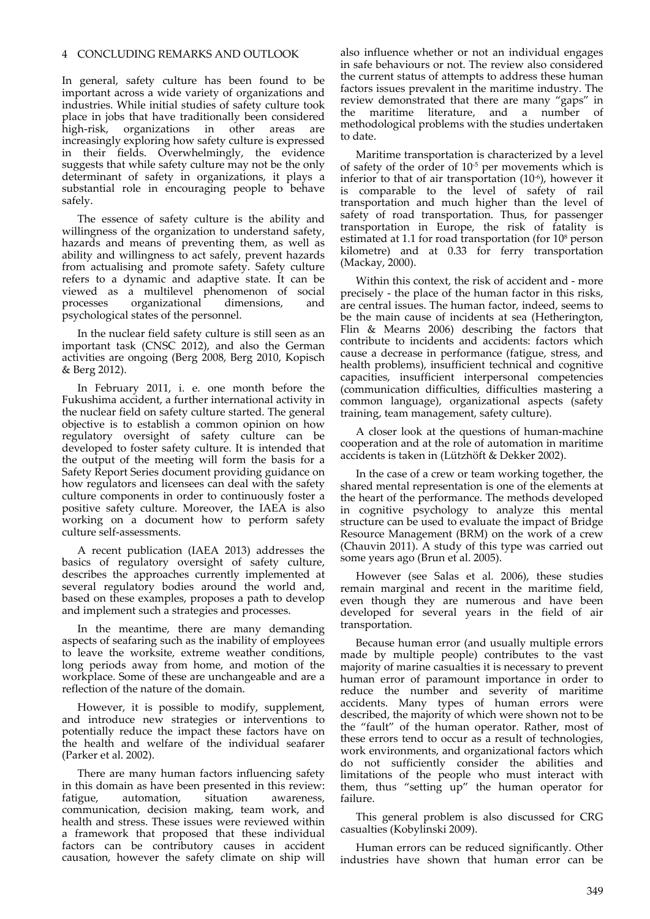In general, safety culture has been found to be important across a wide variety of organizations and industries. While initial studies of safety culture took place in jobs that have traditionally been considered high-risk, organizations in other areas are increasingly exploring how safety culture is expressed in their fields. Overwhelmingly, the evidence suggests that while safety culture may not be the only determinant of safety in organizations, it plays a substantial role in encouraging people to behave safely.

The essence of safety culture is the ability and willingness of the organization to understand safety, hazards and means of preventing them, as well as ability and willingness to act safely, prevent hazards from actualising and promote safety. Safety culture refers to a dynamic and adaptive state. It can be viewed as a multilevel phenomenon of social processes organizational dimensions, and psychological states of the personnel.

In the nuclear field safety culture is still seen as an important task (CNSC 2012), and also the German activities are ongoing (Berg 2008, Berg 2010, Kopisch & Berg 2012).

In February 2011, i. e. one month before the Fukushima accident, a further international activity in the nuclear field on safety culture started. The general objective is to establish a common opinion on how regulatory oversight of safety culture can be developed to foster safety culture. It is intended that the output of the meeting will form the basis for a Safety Report Series document providing guidance on how regulators and licensees can deal with the safety culture components in order to continuously foster a positive safety culture. Moreover, the IAEA is also working on a document how to perform safety culture self‐assessments.

A recent publication (IAEA 2013) addresses the basics of regulatory oversight of safety culture, describes the approaches currently implemented at several regulatory bodies around the world and, based on these examples, proposes a path to develop and implement such a strategies and processes.

In the meantime, there are many demanding aspects of seafaring such as the inability of employees to leave the worksite, extreme weather conditions, long periods away from home, and motion of the workplace. Some of these are unchangeable and are a reflection of the nature of the domain.

However, it is possible to modify, supplement, and introduce new strategies or interventions to potentially reduce the impact these factors have on the health and welfare of the individual seafarer (Parker et al. 2002).

There are many human factors influencing safety in this domain as have been presented in this review: fatigue, automation, situation awareness, communication, decision making, team work, and health and stress. These issues were reviewed within a framework that proposed that these individual factors can be contributory causes in accident causation, however the safety climate on ship will

also influence whether or not an individual engages in safe behaviours or not. The review also considered the current status of attempts to address these human factors issues prevalent in the maritime industry. The review demonstrated that there are many "gaps" in the maritime literature, and a number of methodological problems with the studies undertaken to date.

Maritime transportation is characterized by a level of safety of the order of  $10<sup>5</sup>$  per movements which is inferior to that of air transportation  $(10^{-6})$ , however it is comparable to the level of safety of rail transportation and much higher than the level of safety of road transportation. Thus, for passenger transportation in Europe, the risk of fatality is estimated at 1.1 for road transportation (for 108 person kilometre) and at 0.33 for ferry transportation (Mackay, 2000).

Within this context, the risk of accident and ‐ more precisely ‐ the place of the human factor in this risks, are central issues. The human factor, indeed, seems to be the main cause of incidents at sea (Hetherington, Flin & Mearns 2006) describing the factors that contribute to incidents and accidents: factors which cause a decrease in performance (fatigue, stress, and health problems), insufficient technical and cognitive capacities, insufficient interpersonal competencies (communication difficulties, difficulties mastering a common language), organizational aspects (safety training, team management, safety culture).

A closer look at the questions of human‐machine cooperation and at the role of automation in maritime accidents is taken in (Lützhöft & Dekker 2002).

In the case of a crew or team working together, the shared mental representation is one of the elements at the heart of the performance. The methods developed in cognitive psychology to analyze this mental structure can be used to evaluate the impact of Bridge Resource Management (BRM) on the work of a crew (Chauvin 2011). A study of this type was carried out some years ago (Brun et al. 2005).

However (see Salas et al. 2006), these studies remain marginal and recent in the maritime field, even though they are numerous and have been developed for several years in the field of air transportation.

Because human error (and usually multiple errors made by multiple people) contributes to the vast majority of marine casualties it is necessary to prevent human error of paramount importance in order to reduce the number and severity of maritime accidents. Many types of human errors were described, the majority of which were shown not to be the "fault" of the human operator. Rather, most of these errors tend to occur as a result of technologies, work environments, and organizational factors which do not sufficiently consider the abilities and limitations of the people who must interact with them, thus "setting up" the human operator for failure.

This general problem is also discussed for CRG casualties (Kobylinski 2009).

Human errors can be reduced significantly. Other industries have shown that human error can be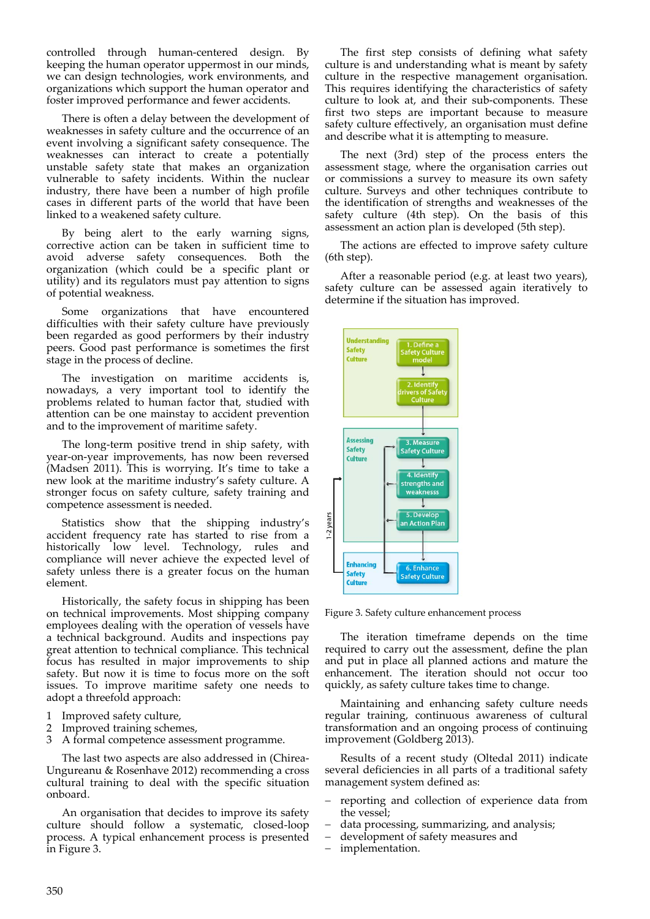controlled through human‐centered design. By keeping the human operator uppermost in our minds, we can design technologies, work environments, and organizations which support the human operator and foster improved performance and fewer accidents.

There is often a delay between the development of weaknesses in safety culture and the occurrence of an event involving a significant safety consequence. The weaknesses can interact to create a potentially unstable safety state that makes an organization vulnerable to safety incidents. Within the nuclear industry, there have been a number of high profile cases in different parts of the world that have been linked to a weakened safety culture.

By being alert to the early warning signs, corrective action can be taken in sufficient time to avoid adverse safety consequences. Both the organization (which could be a specific plant or utility) and its regulators must pay attention to signs of potential weakness.

Some organizations that have encountered difficulties with their safety culture have previously been regarded as good performers by their industry peers. Good past performance is sometimes the first stage in the process of decline.

The investigation on maritime accidents is, nowadays, a very important tool to identify the problems related to human factor that, studied with attention can be one mainstay to accident prevention and to the improvement of maritime safety.

The long‐term positive trend in ship safety, with year‐on‐year improvements, has now been reversed (Madsen 2011). This is worrying. It's time to take a new look at the maritime industry's safety culture. A stronger focus on safety culture, safety training and competence assessment is needed.

Statistics show that the shipping industry's accident frequency rate has started to rise from a historically low level. Technology, rules and compliance will never achieve the expected level of safety unless there is a greater focus on the human element.

Historically, the safety focus in shipping has been on technical improvements. Most shipping company employees dealing with the operation of vessels have a technical background. Audits and inspections pay great attention to technical compliance. This technical focus has resulted in major improvements to ship safety. But now it is time to focus more on the soft issues. To improve maritime safety one needs to adopt a threefold approach:

- 1 Improved safety culture,
- 2 Improved training schemes,
- 3 A formal competence assessment programme.

The last two aspects are also addressed in (Chirea‐ Ungureanu & Rosenhave 2012) recommending a cross cultural training to deal with the specific situation onboard.

An organisation that decides to improve its safety culture should follow a systematic, closed‐loop process. A typical enhancement process is presented in Figure 3.

The first step consists of defining what safety culture is and understanding what is meant by safety culture in the respective management organisation. This requires identifying the characteristics of safety culture to look at, and their sub‐components. These first two steps are important because to measure safety culture effectively, an organisation must define and describe what it is attempting to measure.

The next (3rd) step of the process enters the assessment stage, where the organisation carries out or commissions a survey to measure its own safety culture. Surveys and other techniques contribute to the identification of strengths and weaknesses of the safety culture (4th step). On the basis of this assessment an action plan is developed (5th step).

The actions are effected to improve safety culture (6th step).

After a reasonable period (e.g. at least two years), safety culture can be assessed again iteratively to determine if the situation has improved.



Figure 3. Safety culture enhancement process

The iteration timeframe depends on the time required to carry out the assessment, define the plan and put in place all planned actions and mature the enhancement. The iteration should not occur too quickly, as safety culture takes time to change.

Maintaining and enhancing safety culture needs regular training, continuous awareness of cultural transformation and an ongoing process of continuing improvement (Goldberg 2013).

Results of a recent study (Oltedal 2011) indicate several deficiencies in all parts of a traditional safety management system defined as:

- reporting and collection of experience data from the vessel;
- data processing, summarizing, and analysis;
- development of safety measures and
- implementation.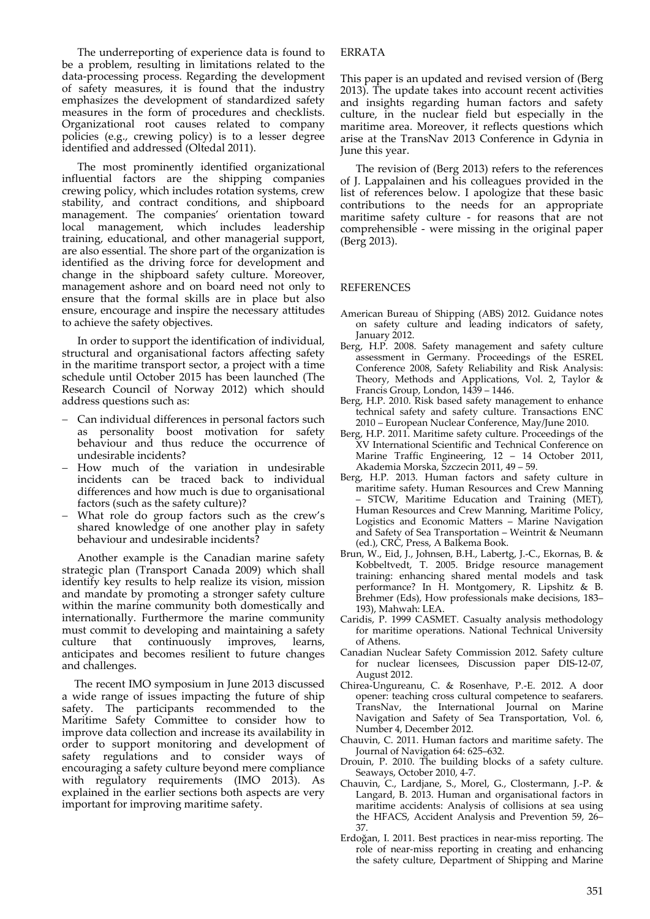The underreporting of experience data is found to be a problem, resulting in limitations related to the data‐processing process. Regarding the development of safety measures, it is found that the industry emphasizes the development of standardized safety measures in the form of procedures and checklists. Organizational root causes related to company policies (e.g., crewing policy) is to a lesser degree identified and addressed (Oltedal 2011).

The most prominently identified organizational influential factors are the shipping companies crewing policy, which includes rotation systems, crew stability, and contract conditions, and shipboard management. The companies' orientation toward local management, which includes leadership training, educational, and other managerial support, are also essential. The shore part of the organization is identified as the driving force for development and change in the shipboard safety culture. Moreover, management ashore and on board need not only to ensure that the formal skills are in place but also ensure, encourage and inspire the necessary attitudes to achieve the safety objectives.

In order to support the identification of individual, structural and organisational factors affecting safety in the maritime transport sector, a project with a time schedule until October 2015 has been launched (The Research Council of Norway 2012) which should address questions such as:

- Can individual differences in personal factors such as personality boost motivation for safety behaviour and thus reduce the occurrence of undesirable incidents?
- How much of the variation in undesirable incidents can be traced back to individual differences and how much is due to organisational factors (such as the safety culture)?
- What role do group factors such as the crew's shared knowledge of one another play in safety behaviour and undesirable incidents?

Another example is the Canadian marine safety strategic plan (Transport Canada 2009) which shall identify key results to help realize its vision, mission and mandate by promoting a stronger safety culture within the marine community both domestically and internationally. Furthermore the marine community must commit to developing and maintaining a safety culture that continuously improves, learns, anticipates and becomes resilient to future changes and challenges.

The recent IMO symposium in June 2013 discussed a wide range of issues impacting the future of ship safety. The participants recommended to the Maritime Safety Committee to consider how to improve data collection and increase its availability in order to support monitoring and development of safety regulations and to consider ways of encouraging a safety culture beyond mere compliance with regulatory requirements (IMO 2013). As explained in the earlier sections both aspects are very important for improving maritime safety.

### ERRATA

This paper is an updated and revised version of (Berg 2013). The update takes into account recent activities and insights regarding human factors and safety culture, in the nuclear field but especially in the maritime area. Moreover, it reflects questions which arise at the TransNav 2013 Conference in Gdynia in June this year.

The revision of (Berg 2013) refers to the references of J. Lappalainen and his colleagues provided in the list of references below. I apologize that these basic contributions to the needs for an appropriate maritime safety culture - for reasons that are not comprehensible - were missing in the original paper (Berg 2013).

#### REFERENCES

- American Bureau of Shipping (ABS) 2012. Guidance notes on safety culture and leading indicators of safety, January 2012.
- Berg, H.P. 2008. Safety management and safety culture assessment in Germany. Proceedings of the ESREL Conference 2008, Safety Reliability and Risk Analysis: Theory, Methods and Applications, Vol. 2, Taylor & Francis Group, London, 1439 – 1446.
- Berg, H.P. 2010. Risk based safety management to enhance technical safety and safety culture. Transactions ENC 2010 – European Nuclear Conference, May/June 2010.
- Berg, H.P. 2011. Maritime safety culture. Proceedings of the XV International Scientific and Technical Conference on Marine Traffic Engineering, 12 – 14 October 2011, Akademia Morska, Szczecin 2011, 49 – 59.
- Berg, H.P. 2013. Human factors and safety culture in maritime safety. Human Resources and Crew Manning – STCW, Maritime Education and Training (MET), Human Resources and Crew Manning, Maritime Policy, Logistics and Economic Matters – Marine Navigation and Safety of Sea Transportation – Weintrit & Neumann (ed.), CRC, Press, A Balkema Book.
- Brun, W., Eid, J., Johnsen, B.H., Labertg, J.‐C., Ekornas, B. & Kobbeltvedt, T. 2005. Bridge resource management training: enhancing shared mental models and task performance? In H. Montgomery, R. Lipshitz & B. Brehmer (Eds), How professionals make decisions, 183– 193), Mahwah: LEA.
- Caridis, P. 1999 CASMET. Casualty analysis methodology for maritime operations. National Technical University of Athens.
- Canadian Nuclear Safety Commission 2012. Safety culture for nuclear licensees, Discussion paper DIS‐12‐07, August 2012.
- Chirea‐Ungureanu, C. & Rosenhave, P.‐E. 2012. A door opener: teaching cross cultural competence to seafarers. TransNav, the International Journal on Marine Navigation and Safety of Sea Transportation, Vol. 6, Number 4, December 2012.
- Chauvin, C. 2011. Human factors and maritime safety. The Journal of Navigation 64: 625–632.
- Drouin, P. 2010. The building blocks of a safety culture. Seaways, October 2010, 4‐7.
- Chauvin, C., Lardjane, S., Morel, G., Clostermann, J.‐P. & Langard, B. 2013. Human and organisational factors in maritime accidents: Analysis of collisions at sea using the HFACS, Accident Analysis and Prevention 59, 26– 37.
- Erdoğan, I. 2011. Best practices in near‐miss reporting. The role of near‐miss reporting in creating and enhancing the safety culture, Department of Shipping and Marine